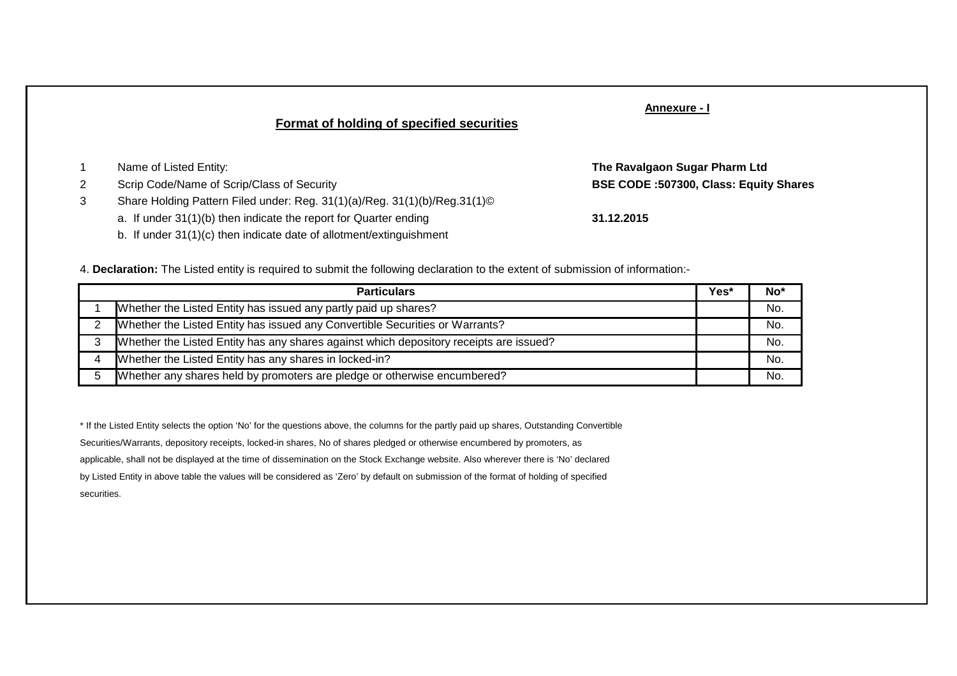# **Format of holding of specified securities**

## **Annexure - I**

**The Ravalgaon Sugar Pharm Ltd**

- <sup>1</sup> Name of Listed Entity:
- <sup>2</sup> Scrip Code/Name of Scrip/Class of Security
- 3 Share Holding Pattern Filed under: Reg. 31(1)(a)/Reg. 31(1)(b)/Reg.31(1)©
	- a. If under 31(1)(b) then indicate the report for Quarter ending
	- b. If under 31(1)(c) then indicate date of allotment/extinguishment

**BSE CODE :507300, Class: Equity Shares**

**31.12.2015**

4. **Declaration:** The Listed entity is required to submit the following declaration to the extent of submission of information:-

| <b>Particulars</b> |                                                                                        |  |     |  |  |  |  |  |
|--------------------|----------------------------------------------------------------------------------------|--|-----|--|--|--|--|--|
|                    | Whether the Listed Entity has issued any partly paid up shares?                        |  | No. |  |  |  |  |  |
|                    | Whether the Listed Entity has issued any Convertible Securities or Warrants?           |  | No. |  |  |  |  |  |
|                    | Whether the Listed Entity has any shares against which depository receipts are issued? |  | No. |  |  |  |  |  |
|                    | Whether the Listed Entity has any shares in locked-in?                                 |  | No. |  |  |  |  |  |
| 5                  | Whether any shares held by promoters are pledge or otherwise encumbered?               |  | No. |  |  |  |  |  |

\* If the Listed Entity selects the option 'No' for the questions above, the columns for the partly paid up shares, Outstanding ConvertibleSecurities/Warrants, depository receipts, locked-in shares, No of shares pledged or otherwise encumbered by promoters, asapplicable, shall not be displayed at the time of dissemination on the Stock Exchange website. Also wherever there is 'No' declaredby Listed Entity in above table the values will be considered as 'Zero' by default on submission of the format of holding of specifiedsecurities.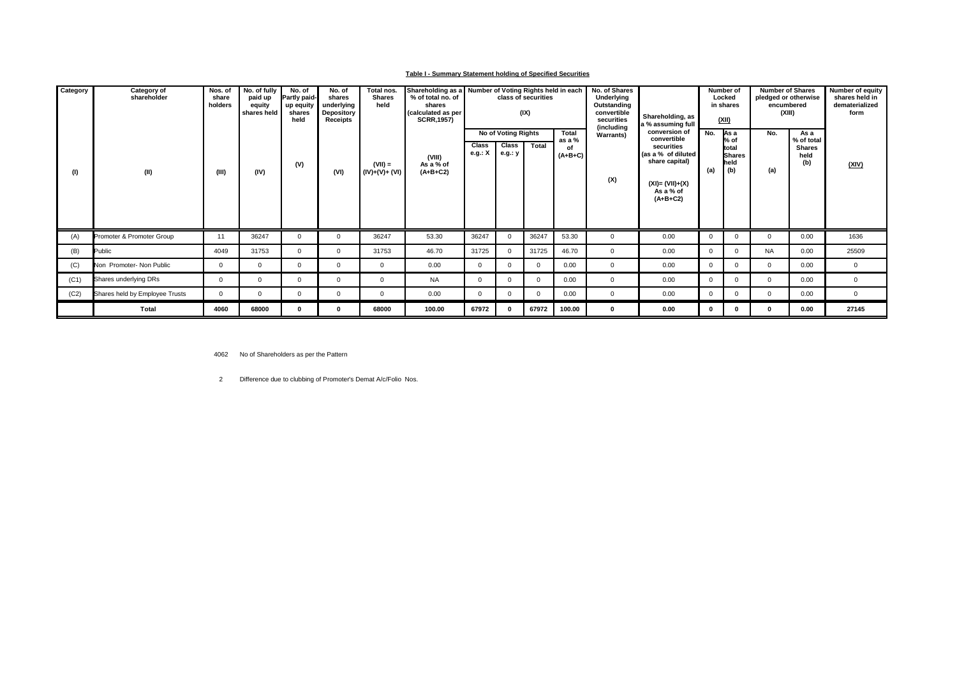### **Table I - Summary Statement holding of Specified Securities**

| Category | Category of<br>shareholder     | Nos. of<br>share<br>holders | No. of fully<br>paid up<br>equity<br>shares held | No. of<br>Partly paid-<br>up equity<br>shares<br>held | No. of<br>shares<br>underlying<br>Depository<br>Receipts | Total nos.<br><b>Shares</b><br>held | % of total no. of<br>shares<br>(calculated as per<br><b>SCRR, 1957)</b> | Shareholding as a Number of Voting Rights held in each<br>class of securities<br>(IX) |                                         |            | No. of Shares<br>Underlying<br>Outstanding<br>convertible<br>securities | Shareholding, as<br>a % assuming full |                                                                                                                                     | Number of<br>Locked<br>in shares<br>(XII) | <b>Number of Shares</b><br>pledged or otherwise<br>encumbered<br>(XIII) |              | Number of equity<br>shares held in<br>dematerialized<br>form |              |
|----------|--------------------------------|-----------------------------|--------------------------------------------------|-------------------------------------------------------|----------------------------------------------------------|-------------------------------------|-------------------------------------------------------------------------|---------------------------------------------------------------------------------------|-----------------------------------------|------------|-------------------------------------------------------------------------|---------------------------------------|-------------------------------------------------------------------------------------------------------------------------------------|-------------------------------------------|-------------------------------------------------------------------------|--------------|--------------------------------------------------------------|--------------|
| (1)      | (II)                           | (III)                       | (IV)                                             | (V)                                                   | (VI)                                                     | $(VII) =$<br>$(IV)+(V)+(V)$         | (VIII)<br>As a % of<br>$(A+B+C2)$                                       | Class<br>e.g.: X                                                                      | No of Voting Rights<br>Class<br>e.g.: y | Total      | <b>Total</b><br>as a %<br>οf<br>$(A+B+C)$                               | (including<br><b>Warrants)</b><br>(X) | conversion of<br>convertible<br>securities<br>(as a % of diluted<br>share capital)<br>$(XI) = (VII)+(X)$<br>As a % of<br>$(A+B+C2)$ | No.<br>(a)                                | lAs a<br>% of<br><b>Itotal</b><br><b>Shares</b><br><b>I</b> held<br>(b) | No.<br>(a)   | As a<br>% of total<br><b>Shares</b><br>held<br>(b)           | <u>(XIV)</u> |
| (A)      | Promoter & Promoter Group      | 11                          | 36247                                            | <sup>n</sup>                                          | $\Omega$                                                 | 36247                               | 53.30                                                                   | 36247                                                                                 | $\Omega$                                | 36247      | 53.30                                                                   | $\Omega$                              | 0.00                                                                                                                                | $\Omega$                                  | $\Omega$                                                                | $\Omega$     | 0.00                                                         | 1636         |
| (B)      | Public                         | 4049                        | 31753                                            | $\Omega$                                              | $\Omega$                                                 | 31753                               | 46.70                                                                   | 31725                                                                                 |                                         | 31725      | 46.70                                                                   | $\mathbf{0}$                          | 0.00                                                                                                                                | $\Omega$                                  | $\Omega$                                                                | <b>NA</b>    | 0.00                                                         | 25509        |
| (C)      | Non Promoter- Non Public       | 0                           | $\mathbf{0}$                                     | $\mathbf{0}$                                          | $\Omega$                                                 | $\mathbf 0$                         | 0.00                                                                    | $\overline{0}$                                                                        | $\Omega$                                | $^{\circ}$ | 0.00                                                                    | 0                                     | 0.00                                                                                                                                | $\Omega$                                  | $\mathbf{0}$                                                            | $\mathbf{0}$ | 0.00                                                         | $\mathbf{0}$ |
| (C1)     | Shares underlying DRs          | $\mathbf{0}$                | $^{\circ}$                                       |                                                       | $\Omega$                                                 | $\Omega$                            | <b>NA</b>                                                               | $\Omega$                                                                              | $\Omega$                                | $\Omega$   | 0.00                                                                    | 0                                     | 0.00                                                                                                                                | $\Omega$                                  | $\Omega$                                                                | $\Omega$     | 0.00                                                         | $\mathbf{0}$ |
| (C2)     | Shares held by Employee Trusts | $\mathbf{0}$                | $\mathbf 0$                                      |                                                       | $\Omega$                                                 | $\Omega$                            | 0.00                                                                    | $\mathbf{0}$                                                                          | $\Omega$                                | $\Omega$   | 0.00                                                                    | 0                                     | 0.00                                                                                                                                | $\Omega$                                  | $\Omega$                                                                | $\Omega$     | 0.00                                                         | $\mathbf{0}$ |
|          | Total                          | 4060                        | 68000                                            |                                                       |                                                          | 68000                               | 100.00                                                                  | 67972                                                                                 |                                         | 67972      | 100.00                                                                  | 0                                     | 0.00                                                                                                                                | $\mathbf{0}$                              | $\mathbf{0}$                                                            | 0            | 0.00                                                         | 27145        |

4062 No of Shareholders as per the Pattern

2 Difference due to clubbing of Promoter's Demat A/c/Folio Nos.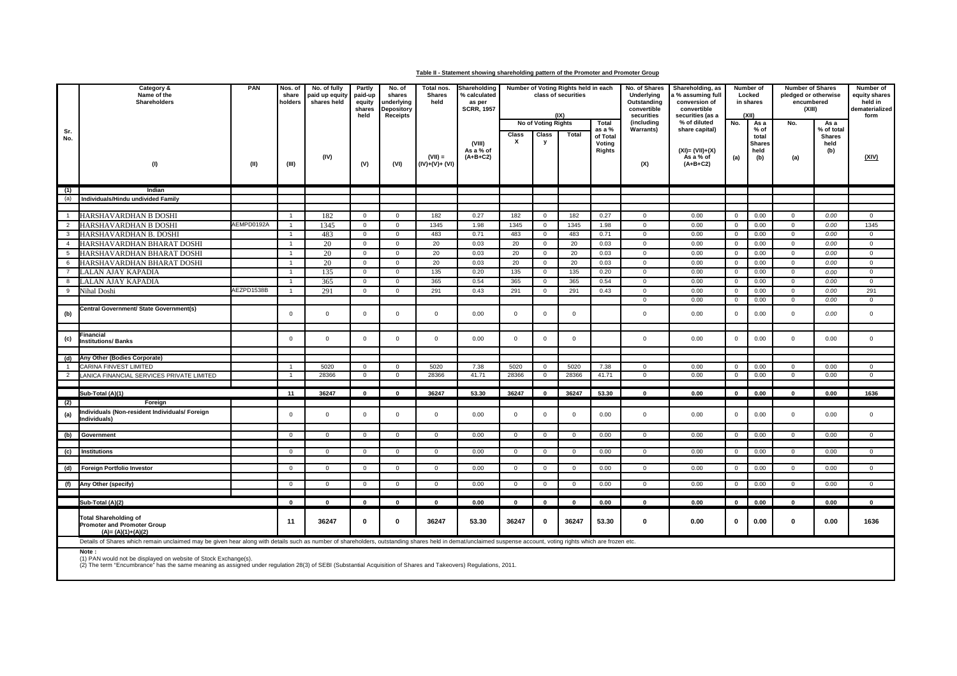#### **Table II - Statement showing shareholding pattern of the Promoter and Promoter Group**

|                | Category &<br>Name of the<br>Shareholders                                                                                                                                                                               | PAN        | Nos. of<br>share<br>holders | No. of fully<br>paid up equity<br>shares held | Partly<br>paid-up<br>equity<br>shares<br>held | No. of<br>shares<br><b>inderlying</b><br><b>Depository</b><br><b>Receipts</b> | Total nos.<br><b>Shares</b><br>held | Shareholding<br>% calculated<br>as per<br><b>SCRR, 1957</b> |                | Number of Voting Rights held in each<br>class of securities<br>(1)<br>No of Voting Rights<br>Total |                |                              | No. of Shares<br>Underlying<br>Outstanding<br>convertible<br>securities<br>(including | Shareholding, as<br>a % assuming full<br>conversion of<br>convertible<br>securities (as a<br>% of diluted | No.            | Number of<br>Locked<br>in shares<br>(XII)<br>As a | <b>Number of Shares</b><br>pledged or otherwise<br>encumbered<br>(XIII)<br>No.<br>As a |                              | Number of<br>equity shares<br>held in<br>dematerialized<br>form |
|----------------|-------------------------------------------------------------------------------------------------------------------------------------------------------------------------------------------------------------------------|------------|-----------------------------|-----------------------------------------------|-----------------------------------------------|-------------------------------------------------------------------------------|-------------------------------------|-------------------------------------------------------------|----------------|----------------------------------------------------------------------------------------------------|----------------|------------------------------|---------------------------------------------------------------------------------------|-----------------------------------------------------------------------------------------------------------|----------------|---------------------------------------------------|----------------------------------------------------------------------------------------|------------------------------|-----------------------------------------------------------------|
| Sr.            |                                                                                                                                                                                                                         |            |                             |                                               |                                               |                                                                               |                                     |                                                             |                |                                                                                                    |                | as a %                       | <b>Warrants)</b>                                                                      | share capital)                                                                                            |                | $%$ of                                            |                                                                                        | % of total                   |                                                                 |
| No.            | (1)                                                                                                                                                                                                                     | (II)       | (III)                       | (IV)                                          | (V)                                           | (VI)                                                                          | $(VII) =$<br>$(IV)+(V)+(VI)$        | (VIII)<br>As a % of<br>$(A+B+C2)$                           | Class<br>x     | Class<br>у                                                                                         | Total          | of Total<br>Voting<br>Rights | (X)                                                                                   | $(XI) = (VII)+(X)$<br>As a % of<br>$(A+B+C2)$                                                             | (a)            | total<br><b>Shares</b><br>held<br>(b)             | (a)                                                                                    | <b>Shares</b><br>held<br>(b) | (XIV)                                                           |
|                |                                                                                                                                                                                                                         |            |                             |                                               |                                               |                                                                               |                                     |                                                             |                |                                                                                                    |                |                              |                                                                                       |                                                                                                           |                |                                                   |                                                                                        |                              |                                                                 |
| (1)            | Indian                                                                                                                                                                                                                  |            |                             |                                               |                                               |                                                                               |                                     |                                                             |                |                                                                                                    |                |                              |                                                                                       |                                                                                                           |                |                                                   |                                                                                        |                              |                                                                 |
| (a)            | Individuals/Hindu undivided Family                                                                                                                                                                                      |            |                             |                                               |                                               |                                                                               |                                     |                                                             |                |                                                                                                    |                |                              |                                                                                       |                                                                                                           |                |                                                   |                                                                                        |                              |                                                                 |
| $\overline{1}$ | HARSHAVARDHAN B DOSHI                                                                                                                                                                                                   |            | $\overline{1}$              | 182                                           | $\mathbf 0$                                   | $\overline{0}$                                                                | 182                                 | 0.27                                                        | 182            | $\mathbf{0}$                                                                                       | 182            | 0.27                         | $\mathbf 0$                                                                           | 0.00                                                                                                      | $\mathbf 0$    | 0.00                                              | $\mathbf{0}$                                                                           | 0.00                         | $\mathbf{0}$                                                    |
| $\overline{2}$ | HARSHAVARDHAN B DOSHI                                                                                                                                                                                                   | AEMPD0192A | $\overline{1}$              | 1345                                          | $\mathsf 0$                                   | $\overline{0}$                                                                | 1345                                | 1.98                                                        | 1345           | $\mathbf{0}$                                                                                       | 1345           | 1.98                         | $\mathsf 0$                                                                           | 0.00                                                                                                      | $\mathsf 0$    | 0.00                                              | $\mathbf 0$                                                                            | 0.00                         | 1345                                                            |
| 3              | HARSHAVARDHAN B. DOSHI                                                                                                                                                                                                  |            | $\overline{1}$              | 483                                           | $\mathbf{0}$                                  | $\mathbf 0$                                                                   | 483                                 | 0.71                                                        | 483            | $\mathbf 0$                                                                                        | 483            | 0.71                         | $\mathbf 0$                                                                           | 0.00                                                                                                      | $\mathbf 0$    | 0.00                                              | $\mathbf 0$                                                                            | 0.00                         | $\mathbf 0$                                                     |
| $\overline{4}$ | HARSHAVARDHAN BHARAT DOSHI                                                                                                                                                                                              |            | $\overline{1}$              | 20                                            | $\mathbf 0$                                   | $\overline{0}$                                                                | 20                                  | 0.03                                                        | 20             | $\mathbf 0$                                                                                        | 20             | 0.03                         | $\mathbf 0$                                                                           | 0.00                                                                                                      | $\mathbf{0}$   | 0.00                                              | $\mathsf 0$                                                                            | 0.00                         | $\mathsf 0$                                                     |
| 5              | HARSHAVARDHAN BHARAT DOSHI                                                                                                                                                                                              |            | $\overline{1}$              | 20                                            | $\mathbf 0$                                   | $\mathbf{0}$                                                                  | 20                                  | 0.03                                                        | 20             | $\mathbf 0$                                                                                        | 20             | 0.03                         | $\mathsf 0$                                                                           | 0.00                                                                                                      | $\mathbf 0$    | 0.00                                              | $\mathbf 0$                                                                            | 0.00                         | $\mathsf 0$                                                     |
| 6              | HARSHAVARDHAN BHARAT DOSHI                                                                                                                                                                                              |            | $\overline{1}$              | 20                                            | $\mathbf 0$                                   | $\mathbf{0}$                                                                  | 20                                  | 0.03                                                        | 20             | $\mathsf 0$                                                                                        | 20             | 0.03                         | $\mathsf 0$                                                                           | 0.00                                                                                                      | $\mathsf{O}$   | 0.00                                              | $\mathsf 0$                                                                            | 0.00                         | $\mathsf 0$                                                     |
|                | ALAN AJAY KAPADIA                                                                                                                                                                                                       |            | $\overline{1}$              | 135                                           | $\mathbf 0$                                   | $\mathbf{0}$                                                                  | 135                                 | 0.20                                                        | 135            | $\mathbf 0$                                                                                        | 135            | 0.20                         | $\overline{0}$                                                                        | 0.00                                                                                                      | $\mathbf 0$    | 0.00                                              | $\mathbf 0$                                                                            | 0.00                         | $\mathbf 0$                                                     |
| 8              | ALAN AJAY KAPADIA                                                                                                                                                                                                       |            | $\overline{1}$              | 365                                           | $\mathbf 0$                                   | $\mathbf{0}$                                                                  | 365                                 | 0.54                                                        | 365            | $\mathbf 0$                                                                                        | 365            | 0.54                         | $\mathbf 0$                                                                           | 0.00                                                                                                      | $\mathsf{O}$   | 0.00                                              | $\mathbf 0$                                                                            | 0.00                         | $\mathbf 0$                                                     |
| 9              | Nihal Doshi                                                                                                                                                                                                             | AEZPD1538B | $\overline{1}$              | 291                                           | $\mathbf{0}$                                  | $\mathsf 0$                                                                   | 291                                 | 0.43                                                        | 291            | $\mathbf{0}$                                                                                       | 291            | 0.43                         | $\mathbf 0$                                                                           | 0.00                                                                                                      | $\mathbf{0}$   | 0.00                                              | $\mathbf 0$                                                                            | 0.00                         | 291                                                             |
|                |                                                                                                                                                                                                                         |            |                             |                                               |                                               |                                                                               |                                     |                                                             |                |                                                                                                    |                |                              | $\overline{0}$                                                                        | 0.00                                                                                                      | $\mathbf{0}$   | 0.00                                              | $\mathbf{0}$                                                                           | 0.00                         | $\mathbf{0}$                                                    |
| (b)            | Central Government/ State Government(s)                                                                                                                                                                                 |            | $\mathbf{0}$                | $\overline{0}$                                | $\mathbf 0$                                   | $\mathbf 0$                                                                   | $\mathbf{0}$                        | 0.00                                                        | $\mathbf{0}$   | $\mathbf{0}$                                                                                       | $\overline{0}$ |                              | $\mathsf 0$                                                                           | 0.00                                                                                                      | $\mathsf 0$    | 0.00                                              | $\mathbf 0$                                                                            | 0.00                         | $\mathsf 0$                                                     |
| (c)            | Financial<br><b>Institutions/ Banks</b>                                                                                                                                                                                 |            | $\mathbf{0}$                | $\mathbf 0$                                   | $\mathbf 0$                                   | $\mathsf 0$                                                                   | $\mathbf 0$                         | 0.00                                                        | $\mathbf 0$    | $\Omega$                                                                                           | $\mathbf 0$    |                              | $\mathsf 0$                                                                           | 0.00                                                                                                      | $\mathsf 0$    | 0.00                                              | $\mathbf{0}$                                                                           | 0.00                         | $\mathsf 0$                                                     |
| (d)            | Any Other (Bodies Corporate)                                                                                                                                                                                            |            |                             |                                               |                                               |                                                                               |                                     |                                                             |                |                                                                                                    |                |                              |                                                                                       |                                                                                                           |                |                                                   |                                                                                        |                              |                                                                 |
| $\overline{1}$ | CARINA FINVEST LIMITED                                                                                                                                                                                                  |            | $\overline{1}$              | 5020                                          | $\mathbf{0}$                                  | $\mathbf 0$                                                                   | 5020                                | 7.38                                                        | 5020           | $\mathbf 0$                                                                                        | 5020           | 7.38                         | $\mathbf 0$                                                                           | 0.00                                                                                                      | $\circ$        | 0.00                                              | $\mathsf 0$                                                                            | 0.00                         | $\mathbf 0$                                                     |
| $\overline{2}$ | LANICA FINANCIAL SERVICES PRIVATE LIMITED                                                                                                                                                                               |            | $\overline{1}$              | 28366                                         | $\mathbf{0}$                                  | $\overline{0}$                                                                | 28366                               | 41.71                                                       | 28366          | $\overline{0}$                                                                                     | 28366          | 41.71                        | $\overline{0}$                                                                        | 0.00                                                                                                      | $\mathbf{0}$   | 0.00                                              | $\mathbf{0}$                                                                           | 0.00                         | $\mathbf{0}$                                                    |
|                |                                                                                                                                                                                                                         |            |                             |                                               |                                               |                                                                               |                                     |                                                             |                |                                                                                                    |                |                              |                                                                                       |                                                                                                           |                |                                                   |                                                                                        |                              |                                                                 |
|                | Sub-Total (A)(1)                                                                                                                                                                                                        |            | 11                          | 36247                                         | $\mathbf{0}$                                  | $\mathbf 0$                                                                   | 36247                               | 53.30                                                       | 36247          | $\mathbf{0}$                                                                                       | 36247          | 53.30                        | $\mathbf{0}$                                                                          | 0.00                                                                                                      | $\mathbf{0}$   | 0.00                                              | $\mathbf{0}$                                                                           | 0.00                         | 1636                                                            |
| (2)            | Foreign                                                                                                                                                                                                                 |            |                             |                                               |                                               |                                                                               |                                     |                                                             |                |                                                                                                    |                |                              |                                                                                       |                                                                                                           |                |                                                   |                                                                                        |                              |                                                                 |
| (a)            | ndividuals (Non-resident Individuals/ Foreign<br>ndividuals)                                                                                                                                                            |            | $\mathsf{O}$                | $\mathbf{0}$                                  | $\mathsf 0$                                   | $\overline{0}$                                                                | $\mathbf 0$                         | 0.00                                                        | $\overline{0}$ | $\mathsf 0$                                                                                        | $\mathbf 0$    | 0.00                         | $\mathsf 0$                                                                           | 0.00                                                                                                      | $\mathsf 0$    | 0.00                                              | $\mathsf 0$                                                                            | 0.00                         | $\mathsf 0$                                                     |
| (b)            | Government                                                                                                                                                                                                              |            | $\overline{0}$              | $\overline{0}$                                | $\mathsf 0$                                   | $\overline{0}$                                                                | $\mathbf 0$                         | 0.00                                                        | $\overline{0}$ | $\mathbf 0$                                                                                        | $\overline{0}$ | 0.00                         | $\mathbf 0$                                                                           | 0.00                                                                                                      | $\mathbf 0$    | 0.00                                              | $\overline{0}$                                                                         | 0.00                         | $\mathbf 0$                                                     |
|                |                                                                                                                                                                                                                         |            |                             |                                               |                                               |                                                                               |                                     |                                                             |                |                                                                                                    |                |                              |                                                                                       |                                                                                                           |                |                                                   |                                                                                        |                              |                                                                 |
| (c)            | <b>Institutions</b>                                                                                                                                                                                                     |            | $\mathbf 0$                 | $\overline{0}$                                | $\mathbf 0$                                   | $\overline{0}$                                                                | $\mathbf 0$                         | 0.00                                                        | $\mathbf{0}$   | $\mathbf 0$                                                                                        | $\mathbf 0$    | 0.00                         | $\mathbf 0$                                                                           | 0.00                                                                                                      | $\mathbf 0$    | 0.00                                              | $\mathbf 0$                                                                            | 0.00                         | $\mathbf 0$                                                     |
|                |                                                                                                                                                                                                                         |            |                             | $\overline{0}$                                |                                               |                                                                               |                                     | 0.00                                                        | $\overline{0}$ |                                                                                                    | $\mathbf 0$    |                              |                                                                                       | 0.00                                                                                                      |                |                                                   |                                                                                        | 0.00                         | $\mathbf 0$                                                     |
| (d)            | <b>Foreign Portfolio Investor</b>                                                                                                                                                                                       |            | $\overline{0}$              |                                               | $\mathbf 0$                                   | $\overline{0}$                                                                | $\overline{0}$                      |                                                             |                | $\mathbf 0$                                                                                        |                | 0.00                         | $\overline{0}$                                                                        |                                                                                                           | $\overline{0}$ | 0.00                                              | $\overline{0}$                                                                         |                              |                                                                 |
| (f)            | Any Other (specify)                                                                                                                                                                                                     |            | $\mathbf{0}$                | $\mathsf 0$                                   | $\mathbf 0$                                   | $\mathsf 0$                                                                   | $\mathbf{0}$                        | 0.00                                                        | $\mathbf 0$    | $\mathbf 0$                                                                                        | $\mathsf 0$    | 0.00                         | $\mathsf 0$                                                                           | 0.00                                                                                                      | $\mathsf 0$    | 0.00                                              | $\mathbf 0$                                                                            | 0.00                         | $\mathbf 0$                                                     |
|                | Sub-Total (A)(2)                                                                                                                                                                                                        |            | $\mathbf{0}$                | $\mathbf{0}$                                  | $\mathbf{0}$                                  | $\mathbf 0$                                                                   | $\mathbf{0}$                        | 0.00                                                        | $\mathbf 0$    | $\mathbf{0}$                                                                                       | $\mathbf 0$    | 0.00                         | $\mathbf{0}$                                                                          | 0.00                                                                                                      | $\mathbf 0$    | 0.00                                              | $\mathbf{0}$                                                                           | 0.00                         | $\mathbf{0}$                                                    |
|                | <b>Total Shareholding of</b><br><b>Promoter and Promoter Group</b><br>$(A)=(A)(1)+(A)(2)$                                                                                                                               |            |                             | 36247                                         | $\mathbf 0$                                   | $\mathbf 0$                                                                   | 36247                               | 53.30                                                       | 36247          | $\mathbf 0$                                                                                        | 36247          | 53.30                        | $\mathbf 0$                                                                           | 0.00                                                                                                      | 0              | 0.00                                              | 0                                                                                      | 0.00                         | 1636                                                            |
|                | Details of Shares which remain unclaimed may be given hear along with details such as number of shareholders, outstanding shares held in demat/unclaimed suspense account, voting rights which are frozen etc.<br>Note: |            |                             |                                               |                                               |                                                                               |                                     |                                                             |                |                                                                                                    |                |                              |                                                                                       |                                                                                                           |                |                                                   |                                                                                        |                              |                                                                 |
|                | $(4)$ DAM<br>d and his disalarmed on mobalis of Clash Fuchange (a)                                                                                                                                                      |            |                             |                                               |                                               |                                                                               |                                     |                                                             |                |                                                                                                    |                |                              |                                                                                       |                                                                                                           |                |                                                   |                                                                                        |                              |                                                                 |

(1) PAN would not be displayed on website of Stock Exchange(s). (2) The term "Encumbrance" has the same meaning as assigned under regulation 28(3) of SEBI (Substantial Acquisition of Shares and Takeovers) Regulations, 2011.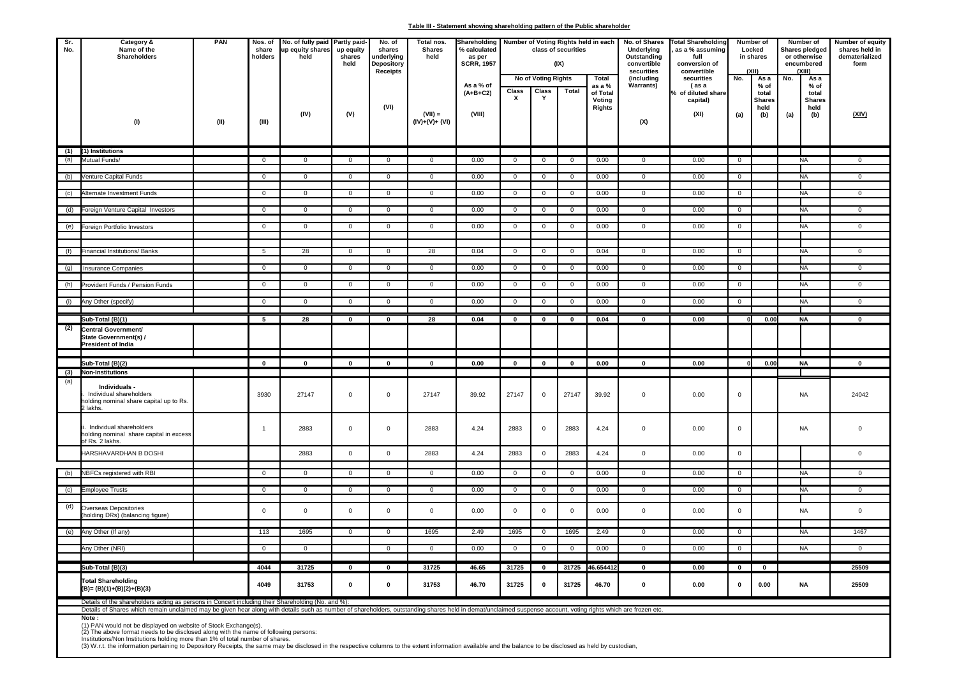#### **Table III - Statement showing shareholding pattern of the Public shareholder**

| Sr.<br>No. | Category &<br>Name of the<br>Shareholders                                                                                                                                                                                                                                                 | PAN  |                | No. of fully paid Partly paid-<br>up equity shares<br>held | up equity<br>shares<br>held | No. of<br>shares<br>underlying<br>Depository<br><b>Receipts</b> | Total nos.<br><b>Shares</b><br>held | Shareholding   Number of Voting Rights held in each<br>% calculated<br>as per<br><b>SCRR, 1957</b> |                |                                   | class of securities<br>(IX) |                                                 | No. of Shares<br>Underlying<br>Outstanding<br>convertible<br>securities | <b>Total Shareholding</b><br>as a % assuming<br>full<br>conversion of<br>convertible | Number of<br>Locked<br>in shares<br>(XII) |                                                       | Number of<br><b>Shares pledged</b><br>or otherwise<br>encumbered<br><b>YIII)</b> |                                                       | Number of equity<br>shares held in<br>dematerialized<br>form |
|------------|-------------------------------------------------------------------------------------------------------------------------------------------------------------------------------------------------------------------------------------------------------------------------------------------|------|----------------|------------------------------------------------------------|-----------------------------|-----------------------------------------------------------------|-------------------------------------|----------------------------------------------------------------------------------------------------|----------------|-----------------------------------|-----------------------------|-------------------------------------------------|-------------------------------------------------------------------------|--------------------------------------------------------------------------------------|-------------------------------------------|-------------------------------------------------------|----------------------------------------------------------------------------------|-------------------------------------------------------|--------------------------------------------------------------|
|            | (1)                                                                                                                                                                                                                                                                                       | (II) | (III)          | (IV)                                                       | (V)                         | (VI)                                                            | $(VII) =$<br>$(IV)+(V)+(VI)$        | As a % of<br>$(A+B+C2)$<br>(VIII)                                                                  | Class<br>x     | No of Voting Rights<br>Class<br>Y | Total                       | Total<br>as a %<br>of Total<br>Voting<br>Rights | (including<br><b>Warrants)</b><br>(X)                                   | securities<br>(as a<br>% of diluted share<br>capital)<br>(XI)                        | No.<br>(a)                                | As a<br>% of<br>total<br><b>Shares</b><br>held<br>(b) | No.<br>(a)                                                                       | As a<br>% of<br>total<br><b>Shares</b><br>held<br>(b) | (XIV)                                                        |
|            |                                                                                                                                                                                                                                                                                           |      |                |                                                            |                             |                                                                 |                                     |                                                                                                    |                |                                   |                             |                                                 |                                                                         |                                                                                      |                                           |                                                       |                                                                                  |                                                       |                                                              |
| (1)        | (1) Institutions                                                                                                                                                                                                                                                                          |      |                |                                                            |                             |                                                                 |                                     |                                                                                                    |                |                                   |                             |                                                 |                                                                         |                                                                                      |                                           |                                                       |                                                                                  |                                                       |                                                              |
| (a)        | Mutual Funds/                                                                                                                                                                                                                                                                             |      | $\overline{0}$ | $\mathbf{0}$                                               | $\mathbf{0}$                | $\mathbf{0}$                                                    | $\mathbf{0}$                        | 0.00                                                                                               | $\mathbf 0$    | $\mathbf 0$                       | $\mathbf{0}$                | 0.00                                            | $\mathbf{0}$                                                            | 0.00                                                                                 | $\overline{0}$                            |                                                       |                                                                                  | <b>NA</b>                                             | $\mathbf 0$                                                  |
| (b)        | Venture Capital Funds                                                                                                                                                                                                                                                                     |      | $\overline{0}$ | $\mathbf 0$                                                | $\mathbf 0$                 | $\mathbf 0$                                                     | $\overline{0}$                      | 0.00                                                                                               | $\overline{0}$ | $\mathbf{0}$                      | $\overline{0}$              | 0.00                                            | $\mathbf 0$                                                             | 0.00                                                                                 | $\overline{0}$                            |                                                       |                                                                                  | <b>NA</b>                                             | $\mathsf{O}\xspace$                                          |
| (c)        | Alternate Investment Funds                                                                                                                                                                                                                                                                |      | $\overline{0}$ | $\mathbf 0$                                                | $\overline{0}$              | $\mathbf 0$                                                     | $\mathbf 0$                         | 0.00                                                                                               | $\overline{0}$ | $\mathbf 0$                       | $\overline{0}$              | 0.00                                            | $\mathbf 0$                                                             | 0.00                                                                                 | $\overline{0}$                            |                                                       |                                                                                  | <b>NA</b>                                             | $\mathbf 0$                                                  |
|            |                                                                                                                                                                                                                                                                                           |      |                |                                                            |                             |                                                                 |                                     |                                                                                                    |                |                                   |                             |                                                 |                                                                         |                                                                                      |                                           |                                                       |                                                                                  |                                                       |                                                              |
|            | (d) Foreign Venture Capital Investors                                                                                                                                                                                                                                                     |      | $\overline{0}$ | $\overline{0}$                                             | $\overline{0}$              | $\overline{0}$                                                  | $\overline{0}$                      | 0.00                                                                                               | $\overline{0}$ | $\mathbf 0$                       | $\overline{0}$              | 0.00                                            | $\overline{0}$                                                          | 0.00                                                                                 | $\overline{0}$                            |                                                       |                                                                                  | <b>NA</b>                                             | $\overline{0}$                                               |
|            | (e) Foreign Portfolio Investors                                                                                                                                                                                                                                                           |      | $\mathbf 0$    | 0                                                          | 0                           | $\mathbf{0}$                                                    | $\mathbf 0$                         | 0.00                                                                                               | $\overline{0}$ | 0                                 | $\mathbf 0$                 | 0.00                                            | $\mathbf 0$                                                             | 0.00                                                                                 | $\overline{0}$                            |                                                       |                                                                                  | <b>NA</b>                                             | $\mathbf 0$                                                  |
|            |                                                                                                                                                                                                                                                                                           |      |                |                                                            |                             |                                                                 |                                     |                                                                                                    |                |                                   |                             |                                                 |                                                                         |                                                                                      |                                           |                                                       |                                                                                  |                                                       |                                                              |
|            |                                                                                                                                                                                                                                                                                           |      | $\overline{5}$ | 28                                                         | $\overline{0}$              |                                                                 |                                     | 0.04                                                                                               | $\overline{0}$ |                                   | $\overline{0}$              | 0.04                                            | $\overline{0}$                                                          | 0.00                                                                                 | $\overline{0}$                            |                                                       |                                                                                  | <b>NA</b>                                             | $\mathbf{0}$                                                 |
| (f)        | Financial Institutions/ Banks                                                                                                                                                                                                                                                             |      |                |                                                            |                             | $\mathbf{0}$                                                    | 28                                  |                                                                                                    |                | $\mathbf{0}$                      |                             |                                                 |                                                                         |                                                                                      |                                           |                                                       |                                                                                  |                                                       |                                                              |
| (g)        | <b>Insurance Companies</b>                                                                                                                                                                                                                                                                |      | $\mathbf 0$    | $\mathbf 0$                                                | $\mathbf 0$                 | $\mathbf 0$                                                     | $\mathbf 0$                         | 0.00                                                                                               | $\overline{0}$ | $\mathbf 0$                       | $\mathbf 0$                 | 0.00                                            | $\mathbf 0$                                                             | 0.00                                                                                 | $\overline{0}$                            |                                                       |                                                                                  | <b>NA</b>                                             | $\mathbf 0$                                                  |
| (h)        | Provident Funds / Pension Funds                                                                                                                                                                                                                                                           |      | $\overline{0}$ | $\overline{0}$                                             | $\overline{0}$              | $\overline{0}$                                                  | $\overline{0}$                      | 0.00                                                                                               | $\overline{0}$ | $\overline{0}$                    | $\overline{0}$              | 0.00                                            | $\overline{0}$                                                          | 0.00                                                                                 | $\overline{0}$                            |                                                       |                                                                                  | <b>NA</b>                                             | $\overline{0}$                                               |
|            |                                                                                                                                                                                                                                                                                           |      |                |                                                            |                             |                                                                 |                                     |                                                                                                    |                |                                   |                             |                                                 |                                                                         |                                                                                      |                                           |                                                       |                                                                                  |                                                       |                                                              |
| (i)        | Any Other (specify)                                                                                                                                                                                                                                                                       |      | $\overline{0}$ | $\overline{0}$                                             | $\mathbf 0$                 | $\mathbf{0}$                                                    | $\mathbf{0}$                        | 0.00                                                                                               | $\overline{0}$ | $\mathbf 0$                       | $\mathbf{0}$                | 0.00                                            | $\mathbf 0$                                                             | 0.00                                                                                 | $\mathbf 0$                               |                                                       |                                                                                  | <b>NA</b>                                             | $\overline{0}$                                               |
|            | Sub-Total (B)(1)                                                                                                                                                                                                                                                                          |      | 5              | 28                                                         | $\mathbf 0$                 | $\mathbf 0$                                                     | 28                                  | 0.04                                                                                               | $\mathbf 0$    | $\mathbf 0$                       | $\mathbf 0$                 | 0.04                                            | $\mathbf 0$                                                             | 0.00                                                                                 | 0                                         | 0.00                                                  |                                                                                  | <b>NA</b>                                             | $\pmb{0}$                                                    |
| (2)        | Central Government/<br>State Government(s) /<br><b>President of India</b>                                                                                                                                                                                                                 |      |                |                                                            |                             |                                                                 |                                     |                                                                                                    |                |                                   |                             |                                                 |                                                                         |                                                                                      |                                           |                                                       |                                                                                  |                                                       |                                                              |
|            | Sub-Total (B)(2)                                                                                                                                                                                                                                                                          |      | $\mathbf{0}$   | $\mathbf 0$                                                | $\mathbf{0}$                | $\Omega$                                                        | $\Omega$                            | 0.00                                                                                               | $\mathbf{0}$   | $\mathbf{0}$                      | $\mathbf{0}$                | 0.00                                            | $\Omega$                                                                | 0.00                                                                                 | <sub>0</sub>                              | o.ool                                                 |                                                                                  | <b>NA</b>                                             | $\mathbf{0}$                                                 |
|            | (3) Non-Institutions                                                                                                                                                                                                                                                                      |      |                |                                                            |                             |                                                                 |                                     |                                                                                                    |                |                                   |                             |                                                 |                                                                         |                                                                                      |                                           |                                                       |                                                                                  |                                                       |                                                              |
| (a)        | Individuals -<br>Individual shareholders<br>nolding nominal share capital up to Rs.<br>lakhs.                                                                                                                                                                                             |      | 3930           | 27147                                                      | $\mathbf 0$                 | $\mathsf 0$                                                     | 27147                               | 39.92                                                                                              | 27147          | $\mathbf 0$                       | 27147                       | 39.92                                           | $\mathsf 0$                                                             | 0.00                                                                                 | $\mathsf 0$                               |                                                       |                                                                                  | <b>NA</b>                                             | 24042                                                        |
|            | . Individual shareholders<br>holding nominal share capital in excess<br>of Rs. 2 lakhs.                                                                                                                                                                                                   |      | $\mathbf{1}$   | 2883                                                       | $\mathsf{O}\xspace$         | $\mathbf 0$                                                     | 2883                                | 4.24                                                                                               | 2883           | $\mathbf 0$                       | 2883                        | 4.24                                            | $\mathsf 0$                                                             | 0.00                                                                                 | $\mathsf 0$                               |                                                       |                                                                                  | <b>NA</b>                                             | $\mathsf{O}\xspace$                                          |
|            | HARSHAVARDHAN B DOSHI                                                                                                                                                                                                                                                                     |      |                | 2883                                                       | $\mathbf 0$                 | $\mathsf 0$                                                     | 2883                                | 4.24                                                                                               | 2883           | $\mathbf 0$                       | 2883                        | 4.24                                            | $\mathbf 0$                                                             | 0.00                                                                                 | $\overline{0}$                            |                                                       |                                                                                  |                                                       | $\mathsf 0$                                                  |
| (b)        | NBFCs registered with RBI                                                                                                                                                                                                                                                                 |      | $\mathsf 0$    | $\mathsf 0$                                                | $\mathsf 0$                 | $\mathbf 0$                                                     | $\mathsf 0$                         | 0.00                                                                                               | $\mathbf 0$    | $\mathsf 0$                       | $\mathbf 0$                 | 0.00                                            | $\mathbf 0$                                                             | 0.00                                                                                 | $\mathbf 0$                               |                                                       |                                                                                  | <b>NA</b>                                             | $\mathsf 0$                                                  |
|            |                                                                                                                                                                                                                                                                                           |      |                |                                                            |                             |                                                                 |                                     |                                                                                                    |                |                                   |                             |                                                 |                                                                         |                                                                                      |                                           |                                                       |                                                                                  |                                                       |                                                              |
| (c)        | <b>Employee Trusts</b>                                                                                                                                                                                                                                                                    |      | $\overline{0}$ | $\overline{0}$                                             | $\overline{0}$              | $\overline{0}$                                                  | $\overline{0}$                      | 0.00                                                                                               | $\overline{0}$ | $\mathbf 0$                       | $\overline{0}$              | 0.00                                            | $\mathbf 0$                                                             | 0.00                                                                                 | $\overline{0}$                            |                                                       |                                                                                  | <b>NA</b>                                             | $\overline{0}$                                               |
| (d)        | Overseas Depositories<br>holding DRs) (balancing figure)                                                                                                                                                                                                                                  |      | $\mathsf 0$    | $\mathbf 0$                                                | $\mathbf 0$                 | $\mathsf 0$                                                     | $\mathbf 0$                         | 0.00                                                                                               | $\mathbf 0$    | $\mathsf 0$                       | $\mathsf 0$                 | 0.00                                            | $\overline{0}$                                                          | 0.00                                                                                 | $\mathbf 0$                               |                                                       |                                                                                  | <b>NA</b>                                             | $\mathsf 0$                                                  |
|            | (e) Any Other (If any)                                                                                                                                                                                                                                                                    |      | 113            | 1695                                                       | $\overline{0}$              | $\mathbf 0$                                                     | 1695                                | 2.49                                                                                               | 1695           | $\mathbf 0$                       | 1695                        | 2.49                                            | $\overline{0}$                                                          | 0.00                                                                                 | $\overline{0}$                            |                                                       |                                                                                  | <b>NA</b>                                             | 1467                                                         |
|            |                                                                                                                                                                                                                                                                                           |      |                |                                                            |                             |                                                                 |                                     |                                                                                                    |                |                                   |                             |                                                 |                                                                         |                                                                                      |                                           |                                                       |                                                                                  |                                                       |                                                              |
|            | Any Other (NRI)                                                                                                                                                                                                                                                                           |      | $\mathbf 0$    | $\mathbf{0}$                                               |                             | $\mathbf 0$                                                     | $\mathbf 0$                         | 0.00                                                                                               | $\overline{0}$ | $\mathbf 0$                       | $\mathbf 0$                 | 0.00                                            | $\mathbf 0$                                                             | 0.00                                                                                 | $\mathbf 0$                               |                                                       |                                                                                  | <b>NA</b>                                             | $\mathbf 0$                                                  |
|            | Sub-Total (B)(3)                                                                                                                                                                                                                                                                          |      | 4044           | 31725                                                      | $\mathbf 0$                 | $\mathbf 0$                                                     | 31725                               | 46.65                                                                                              | 31725          | $\mathbf 0$                       |                             | 31725 46.654412                                 | $\mathbf 0$                                                             | 0.00                                                                                 | $\mathbf 0$                               | $\mathbf 0$                                           |                                                                                  |                                                       | 25509                                                        |
|            | <b>Total Shareholding</b><br>$(B)=(B)(1)+(B)(2)+(B)(3)$                                                                                                                                                                                                                                   |      | 4049           | 31753                                                      | 0                           | $\pmb{0}$                                                       | 31753                               | 46.70                                                                                              | 31725          | 0                                 | 31725                       | 46.70                                           | $\mathbf 0$                                                             | 0.00                                                                                 | $\pmb{0}$                                 | 0.00                                                  |                                                                                  | <b>NA</b>                                             | 25509                                                        |
|            | Details of the shareholders acting as persons in Concert including their Shareholding (No. and %):                                                                                                                                                                                        |      |                |                                                            |                             |                                                                 |                                     |                                                                                                    |                |                                   |                             |                                                 |                                                                         |                                                                                      |                                           |                                                       |                                                                                  |                                                       |                                                              |
|            | Details of Shares which remain unclaimed may be given hear along with details such as number of shareholders, outstanding shares held in demat/unclaimed suspense account, voting rights which are frozen etc.<br>Note:<br>(1) PAN would not be displayed on website of Stock Exchange(s) |      |                |                                                            |                             |                                                                 |                                     |                                                                                                    |                |                                   |                             |                                                 |                                                                         |                                                                                      |                                           |                                                       |                                                                                  |                                                       |                                                              |

(1) PAN would not be displayed on website of Stock Exchange(s).<br>(2) The above format needs to be disclosed along with the name of following persons:<br>Institutions/Non Institutions holding more than 1% of total number of sha